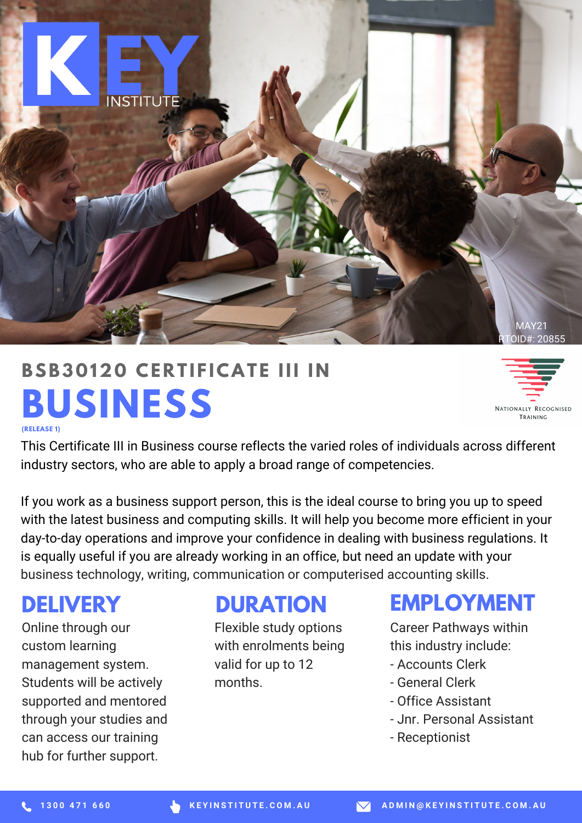

# **BUSINESS BSB30120 CERTIFICATE III**



**(RELEASE 1)**

This Certificate III in Business course reflects the varied roles of individuals across different industry sectors, who are able to apply a broad range of competencies.

If you work as a business support person, this is the ideal course to bring you up to speed with the latest business and computing skills. It will help you become more efficient in your day-to-day operations and improve your confidence in dealing with business regulations. It is equally useful if you are already working in an office, but need an update with your business technology, writing, communication or computerised accounting skills.

#### **DELIVERY**

Online through our custom learning management system. Students will be actively supported and mentored through your studies and can access our training hub for further support.

#### **DURATION**

Flexible study options with enrolments being valid for up to 12 months.

#### **EMPLOYMENT**

Career Pathways within this industry include:

- Accounts Clerk
- General Clerk
- Office Assistant
- Jnr. Personal Assistant
- Receptionist